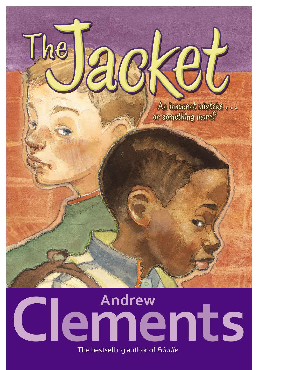

# Andrew  $\blacksquare$ ements The bestselling author of Frindle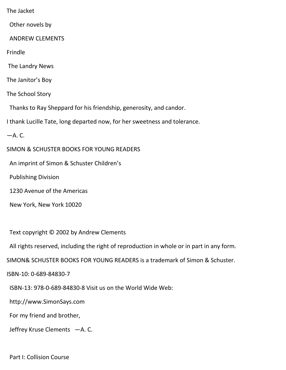The Jacket

Other novels by

ANDREW CLEMENTS

Frindle

The Landry News

The Janitor's Boy

The School Story

Thanks to Ray Sheppard for his friendship, generosity, and candor.

I thank Lucille Tate, long departed now, for her sweetness and tolerance.

—A. C.

SIMON & SCHUSTER BOOKS FOR YOUNG READERS

An imprint of Simon & Schuster Children's

Publishing Division

1230 Avenue of the Americas

New York, New York 10020

Text copyright © 2002 by Andrew Clements

All rights reserved, including the right of reproduction in whole or in part in any form.

SIMON& SCHUSTER BOOKS FOR YOUNG READERS is a trademark of Simon & Schuster.

ISBN-10: 0-689-84830-7

ISBN-13: 978-0-689-84830-8 Visit us on the World Wide Web:

http://www.SimonSays.com

For my friend and brother,

Jeffrey Kruse Clements —A. C.

Part I: Collision Course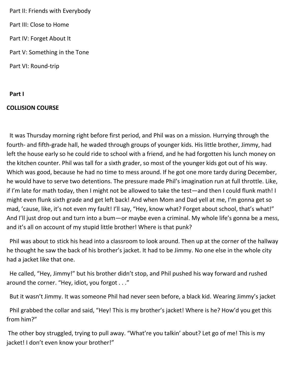Part II: Friends with Everybody Part III: Close to Home Part IV: Forget About It Part V: Something in the Tone Part VI: Round-trip

## **Part I**

# **COLLISION COURSE**

 It was Thursday morning right before first period, and Phil was on a mission. Hurrying through the fourth- and fifth-grade hall, he waded through groups of younger kids. His little brother, Jimmy, had left the house early so he could ride to school with a friend, and he had forgotten his lunch money on the kitchen counter. Phil was tall for a sixth grader, so most of the younger kids got out of his way. Which was good, because he had no time to mess around. If he got one more tardy during December, he would have to serve two detentions. The pressure made Phil's imagination run at full throttle. Like, if I'm late for math today, then I might not be allowed to take the test—and then I could flunk math! I might even flunk sixth grade and get left back! And when Mom and Dad yell at me, I'm gonna get so mad, 'cause, like, it's not even my fault! I'll say, "Hey, know what? Forget about school, that's what!" And I'll just drop out and turn into a bum—or maybe even a criminal. My whole life's gonna be a mess, and it's all on account of my stupid little brother! Where is that punk?

 Phil was about to stick his head into a classroom to look around. Then up at the corner of the hallway he thought he saw the back of his brother's jacket. It had to be Jimmy. No one else in the whole city had a jacket like that one.

 He called, "Hey, Jimmy!" but his brother didn't stop, and Phil pushed his way forward and rushed around the corner. "Hey, idiot, you forgot . . ."

But it wasn't Jimmy. It was someone Phil had never seen before, a black kid. Wearing Jimmy's jacket

 Phil grabbed the collar and said, "Hey! This is my brother's jacket! Where is he? How'd you get this from him?"

The other boy struggled, trying to pull away. "What're you talkin' about? Let go of me! This is my jacket! I don't even know your brother!"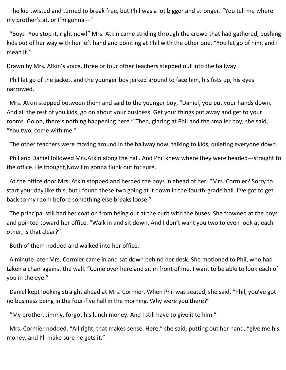The kid twisted and turned to break free, but Phil was a lot bigger and stronger. "You tell me where my brother's at, or I'm gonna—"

 "Boys! You stop it, right now!" Mrs. Atkin came striding through the crowd that had gathered, pushing kids out of her way with her left hand and pointing at Phil with the other one. "You let go of him, and I mean it!"

Drawn by Mrs. Atkin's voice, three or four other teachers stepped out into the hallway.

 Phil let go of the jacket, and the younger boy jerked around to face him, his fists up, his eyes narrowed.

 Mrs. Atkin stepped between them and said to the younger boy, "Daniel, you put your hands down. And all the rest of you kids, go on about your business. Get your things put away and get to your rooms. Go on, there's nothing happening here." Then, glaring at Phil and the smaller boy, she said, "You two, come with me."

The other teachers were moving around in the hallway now, talking to kids, quieting everyone down.

 Phil and Daniel followed Mrs.Atkin along the hall. And Phil knew where they were headed—straight to the office. He thought,Now I'm gonna flunk out for sure.

 At the office door Mrs. Atkin stopped and herded the boys in ahead of her. "Mrs. Cormier? Sorry to start your day like this, but I found these two going at it down in the fourth-grade hall. I've got to get back to my room before something else breaks loose."

 The principal still had her coat on from being out at the curb with the buses. She frowned at the boys and pointed toward her office. "Walk in and sit down. And I don't want you two to even look at each other, is that clear?"

Both of them nodded and walked into her office.

 A minute later Mrs. Cormier came in and sat down behind her desk. She motioned to Phil, who had taken a chair against the wall. "Come over here and sit in front of me. I want to be able to look each of you in the eye."

 Daniel kept looking straight ahead at Mrs. Cormier. When Phil was seated, she said, "Phil, you've got no business being in the four-five hall in the morning. Why were you there?"

"My brother, Jimmy, forgot his lunch money. And I still have to give it to him."

 Mrs. Cormier nodded. "All right, that makes sense. Here," she said, putting out her hand, "give me his money, and I'll make sure he gets it."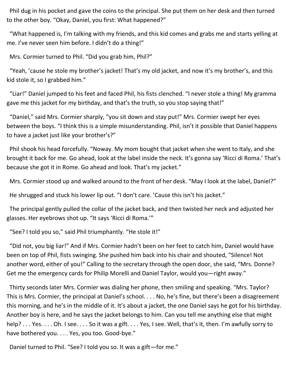Phil dug in his pocket and gave the coins to the principal. She put them on her desk and then turned to the other boy. "Okay, Daniel, you first: What happened?"

 "What happened is, I'm talking with my friends, and this kid comes and grabs me and starts yelling at me. I've never seen him before. I didn't do a thing!"

Mrs. Cormier turned to Phil. "Did you grab him, Phil?"

 "Yeah, 'cause he stole my brother's jacket! That's my old jacket, and now it's my brother's, and this kid stole it, so I grabbed him."

 "Liar!" Daniel jumped to his feet and faced Phil, his fists clenched. "I never stole a thing! My gramma gave me this jacket for my birthday, and that's the truth, so you stop saying that!"

 "Daniel," said Mrs. Cormier sharply, "you sit down and stay put!" Mrs. Cormier swept her eyes between the boys. "I think this is a simple misunderstanding. Phil, isn't it possible that Daniel happens to have a jacket just like your brother's?"

 Phil shook his head forcefully. "Noway. My mom bought that jacket when she went to Italy, and she brought it back for me. Go ahead, look at the label inside the neck. It's gonna say 'Ricci di Roma.' That's because she got it in Rome. Go ahead and look. That's my jacket."

Mrs. Cormier stood up and walked around to the front of her desk. "May I look at the label, Daniel?"

He shrugged and stuck his lower lip out. "I don't care. 'Cause this isn't his jacket."

 The principal gently pulled the collar of the jacket back, and then twisted her neck and adjusted her glasses. Her eyebrows shot up. "It says 'Ricci di Roma.'"

"See? I told you so," said Phil triumphantly. "He stole it!"

 "Did not, you big liar!" And if Mrs. Cormier hadn't been on her feet to catch him, Daniel would have been on top of Phil, fists swinging. She pushed him back into his chair and shouted, "Silence! Not another word, either of you!" Calling to the secretary through the open door, she said, "Mrs. Donne? Get me the emergency cards for Philip Morelli and Daniel Taylor, would you—right away."

 Thirty seconds later Mrs. Cormier was dialing her phone, then smiling and speaking. "Mrs. Taylor? This is Mrs. Cormier, the principal at Daniel's school. . . . No, he's fine, but there's been a disagreement this morning, and he's in the middle of it. It's about a jacket, the one Daniel says he got for his birthday. Another boy is here, and he says the jacket belongs to him. Can you tell me anything else that might help? . . . Yes. . . . Oh. I see. . . . So it was a gift. . . . Yes, I see. Well, that's it, then. I'm awfully sorry to have bothered you. . . . Yes, you too. Good-bye."

Daniel turned to Phil. "See? I told you so. It was a gift—for me."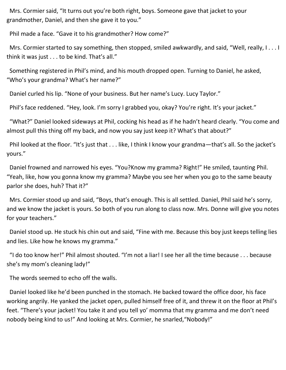Mrs. Cormier said, "It turns out you're both right, boys. Someone gave that jacket to your grandmother, Daniel, and then she gave it to you."

Phil made a face. "Gave it to his grandmother? How come?"

Mrs. Cormier started to say something, then stopped, smiled awkwardly, and said, "Well, really, I . . . I think it was just . . . to be kind. That's all."

 Something registered in Phil's mind, and his mouth dropped open. Turning to Daniel, he asked, "Who's your grandma? What's her name?"

Daniel curled his lip. "None of your business. But her name's Lucy. Lucy Taylor."

Phil's face reddened. "Hey, look. I'm sorry I grabbed you, okay? You're right. It's your jacket."

 "What?" Daniel looked sideways at Phil, cocking his head as if he hadn't heard clearly. "You come and almost pull this thing off my back, and now you say just keep it? What's that about?"

 Phil looked at the floor. "It's just that . . . like, I think I know your grandma—that's all. So the jacket's yours."

 Daniel frowned and narrowed his eyes. "You?Know my gramma? Right!" He smiled, taunting Phil. "Yeah, like, how you gonna know my gramma? Maybe you see her when you go to the same beauty parlor she does, huh? That it?"

 Mrs. Cormier stood up and said, "Boys, that's enough. This is all settled. Daniel, Phil said he's sorry, and we know the jacket is yours. So both of you run along to class now. Mrs. Donne will give you notes for your teachers."

 Daniel stood up. He stuck his chin out and said, "Fine with me. Because this boy just keeps telling lies and lies. Like how he knows my gramma."

 "I do too know her!" Phil almost shouted. "I'm not a liar! I see her all the time because . . . because she's my mom's cleaning lady!"

The words seemed to echo off the walls.

 Daniel looked like he'd been punched in the stomach. He backed toward the office door, his face working angrily. He yanked the jacket open, pulled himself free of it, and threw it on the floor at Phil's feet. "There's your jacket! You take it and you tell yo' momma that my gramma and me don't need nobody being kind to us!" And looking at Mrs. Cormier, he snarled,"Nobody!"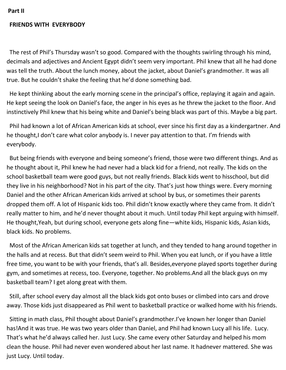#### **Part II**

#### **FRIENDS WITH EVERYBODY**

 The rest of Phil's Thursday wasn't so good. Compared with the thoughts swirling through his mind, decimals and adjectives and Ancient Egypt didn't seem very important. Phil knew that all he had done was tell the truth. About the lunch money, about the jacket, about Daniel's grandmother. It was all true. But he couldn't shake the feeling that he'd done something bad.

 He kept thinking about the early morning scene in the principal's office, replaying it again and again. He kept seeing the look on Daniel's face, the anger in his eyes as he threw the jacket to the floor. And instinctively Phil knew that his being white and Daniel's being black was part of this. Maybe a big part.

 Phil had known a lot of African American kids at school, ever since his first day as a kindergartner. And he thought,I don't care what color anybody is. I never pay attention to that. I'm friends with everybody.

 But being friends with everyone and being someone's friend, those were two different things. And as he thought about it, Phil knew he had never had a black kid for a friend, not really. The kids on the school basketball team were good guys, but not really friends. Black kids went to hisschool, but did they live in his neighborhood? Not in his part of the city. That's just how things were. Every morning Daniel and the other African American kids arrived at school by bus, or sometimes their parents dropped them off. A lot of Hispanic kids too. Phil didn't know exactly where they came from. It didn't really matter to him, and he'd never thought about it much. Until today Phil kept arguing with himself. He thought,Yeah, but during school, everyone gets along fine—white kids, Hispanic kids, Asian kids, black kids. No problems.

 Most of the African American kids sat together at lunch, and they tended to hang around together in the halls and at recess. But that didn't seem weird to Phil. When you eat lunch, or if you have a little free time, you want to be with your friends, that's all. Besides,everyone played sports together during gym, and sometimes at recess, too. Everyone, together. No problems.And all the black guys on my basketball team? I get along great with them.

 Still, after school every day almost all the black kids got onto buses or climbed into cars and drove away. Those kids just disappeared as Phil went to basketball practice or walked home with his friends.

 Sitting in math class, Phil thought about Daniel's grandmother.I've known her longer than Daniel has!And it was true. He was two years older than Daniel, and Phil had known Lucy all his life. Lucy. That's what he'd always called her. Just Lucy. She came every other Saturday and helped his mom clean the house. Phil had never even wondered about her last name. It hadnever mattered. She was just Lucy. Until today.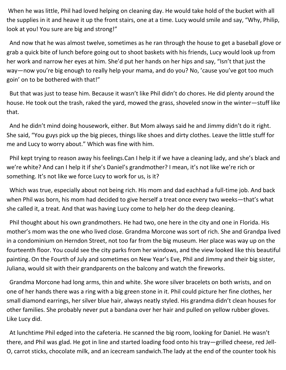When he was little, Phil had loved helping on cleaning day. He would take hold of the bucket with all the supplies in it and heave it up the front stairs, one at a time. Lucy would smile and say, "Why, Philip, look at you! You sure are big and strong!"

 And now that he was almost twelve, sometimes as he ran through the house to get a baseball glove or grab a quick bite of lunch before going out to shoot baskets with his friends, Lucy would look up from her work and narrow her eyes at him. She'd put her hands on her hips and say, "Isn't that just the way—now you're big enough to really help your mama, and do you? No, 'cause you've got too much goin' on to be bothered with that!"

 But that was just to tease him. Because it wasn't like Phil didn't do chores. He did plenty around the house. He took out the trash, raked the yard, mowed the grass, shoveled snow in the winter—stuff like that.

 And he didn't mind doing housework, either. But Mom always said he and Jimmy didn't do it right. She said, "You guys pick up the big pieces, things like shoes and dirty clothes. Leave the little stuff for me and Lucy to worry about." Which was fine with him.

 Phil kept trying to reason away his feelings.Can I help it if we have a cleaning lady, and she's black and we're white? And can I help it if she's Daniel's grandmother? I mean, it's not like we're rich or something. It's not like we force Lucy to work for us, is it?

 Which was true, especially about not being rich. His mom and dad eachhad a full-time job. And back when Phil was born, his mom had decided to give herself a treat once every two weeks—that's what she called it, a treat. And that was having Lucy come to help her do the deep cleaning.

 Phil thought about his own grandmothers. He had two, one here in the city and one in Florida. His mother's mom was the one who lived close. Grandma Morcone was sort of rich. She and Grandpa lived in a condominium on Herndon Street, not too far from the big museum. Her place was way up on the fourteenth floor. You could see the city parks from her windows, and the view looked like this beautiful painting. On the Fourth of July and sometimes on New Year's Eve, Phil and Jimmy and their big sister, Juliana, would sit with their grandparents on the balcony and watch the fireworks.

 Grandma Morcone had long arms, thin and white. She wore silver bracelets on both wrists, and on one of her hands there was a ring with a big green stone in it. Phil could picture her fine clothes, her small diamond earrings, her silver blue hair, always neatly styled. His grandma didn't clean houses for other families. She probably never put a bandana over her hair and pulled on yellow rubber gloves. Like Lucy did.

 At lunchtime Phil edged into the cafeteria. He scanned the big room, looking for Daniel. He wasn't there, and Phil was glad. He got in line and started loading food onto his tray—grilled cheese, red Jell-O, carrot sticks, chocolate milk, and an icecream sandwich.The lady at the end of the counter took his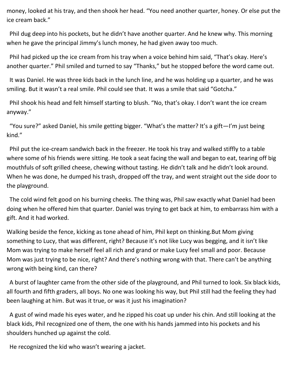money, looked at his tray, and then shook her head. "You need another quarter, honey. Or else put the ice cream back."

 Phil dug deep into his pockets, but he didn't have another quarter. And he knew why. This morning when he gave the principal Jimmy's lunch money, he had given away too much.

 Phil had picked up the ice cream from his tray when a voice behind him said, "That's okay. Here's another quarter." Phil smiled and turned to say "Thanks," but he stopped before the word came out.

 It was Daniel. He was three kids back in the lunch line, and he was holding up a quarter, and he was smiling. But it wasn't a real smile. Phil could see that. It was a smile that said "Gotcha."

 Phil shook his head and felt himself starting to blush. "No, that's okay. I don't want the ice cream anyway."

 "You sure?" asked Daniel, his smile getting bigger. "What's the matter? It's a gift—I'm just being kind."

 Phil put the ice-cream sandwich back in the freezer. He took his tray and walked stiffly to a table where some of his friends were sitting. He took a seat facing the wall and began to eat, tearing off big mouthfuls of soft grilled cheese, chewing without tasting. He didn't talk and he didn't look around. When he was done, he dumped his trash, dropped off the tray, and went straight out the side door to the playground.

 The cold wind felt good on his burning cheeks. The thing was, Phil saw exactly what Daniel had been doing when he offered him that quarter. Daniel was trying to get back at him, to embarrass him with a gift. And it had worked.

Walking beside the fence, kicking as tone ahead of him, Phil kept on thinking.But Mom giving something to Lucy, that was different, right? Because it's not like Lucy was begging, and it isn't like Mom was trying to make herself feel all rich and grand or make Lucy feel small and poor. Because Mom was just trying to be nice, right? And there's nothing wrong with that. There can't be anything wrong with being kind, can there?

 A burst of laughter came from the other side of the playground, and Phil turned to look. Six black kids, all fourth and fifth graders, all boys. No one was looking his way, but Phil still had the feeling they had been laughing at him. But was it true, or was it just his imagination?

 A gust of wind made his eyes water, and he zipped his coat up under his chin. And still looking at the black kids, Phil recognized one of them, the one with his hands jammed into his pockets and his shoulders hunched up against the cold.

He recognized the kid who wasn't wearing a jacket.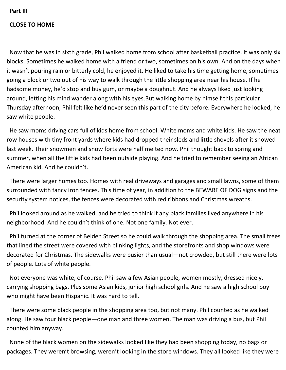**Part III**

#### **CLOSE TO HOME**

 Now that he was in sixth grade, Phil walked home from school after basketball practice. It was only six blocks. Sometimes he walked home with a friend or two, sometimes on his own. And on the days when it wasn't pouring rain or bitterly cold, he enjoyed it. He liked to take his time getting home, sometimes going a block or two out of his way to walk through the little shopping area near his house. If he hadsome money, he'd stop and buy gum, or maybe a doughnut. And he always liked just looking around, letting his mind wander along with his eyes.But walking home by himself this particular Thursday afternoon, Phil felt like he'd never seen this part of the city before. Everywhere he looked, he saw white people.

 He saw moms driving cars full of kids home from school. White moms and white kids. He saw the neat row houses with tiny front yards where kids had dropped their sleds and little shovels after it snowed last week. Their snowmen and snow forts were half melted now. Phil thought back to spring and summer, when all the little kids had been outside playing. And he tried to remember seeing an African American kid. And he couldn't.

 There were larger homes too. Homes with real driveways and garages and small lawns, some of them surrounded with fancy iron fences. This time of year, in addition to the BEWARE OF DOG signs and the security system notices, the fences were decorated with red ribbons and Christmas wreaths.

 Phil looked around as he walked, and he tried to think if any black families lived anywhere in his neighborhood. And he couldn't think of one. Not one family. Not ever.

 Phil turned at the corner of Belden Street so he could walk through the shopping area. The small trees that lined the street were covered with blinking lights, and the storefronts and shop windows were decorated for Christmas. The sidewalks were busier than usual—not crowded, but still there were lots of people. Lots of white people.

 Not everyone was white, of course. Phil saw a few Asian people, women mostly, dressed nicely, carrying shopping bags. Plus some Asian kids, junior high school girls. And he saw a high school boy who might have been Hispanic. It was hard to tell.

 There were some black people in the shopping area too, but not many. Phil counted as he walked along. He saw four black people—one man and three women. The man was driving a bus, but Phil counted him anyway.

 None of the black women on the sidewalks looked like they had been shopping today, no bags or packages. They weren't browsing, weren't looking in the store windows. They all looked like they were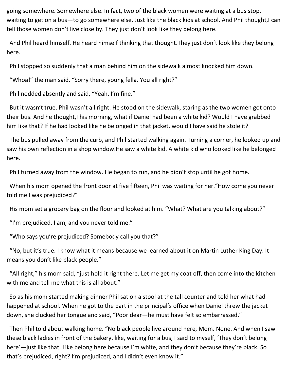going somewhere. Somewhere else. In fact, two of the black women were waiting at a bus stop, waiting to get on a bus-to go somewhere else. Just like the black kids at school. And Phil thought,I can tell those women don't live close by. They just don't look like they belong here.

 And Phil heard himself. He heard himself thinking that thought.They just don't look like they belong here.

Phil stopped so suddenly that a man behind him on the sidewalk almost knocked him down.

"Whoa!" the man said. "Sorry there, young fella. You all right?"

Phil nodded absently and said, "Yeah, I'm fine."

 But it wasn't true. Phil wasn't all right. He stood on the sidewalk, staring as the two women got onto their bus. And he thought,This morning, what if Daniel had been a white kid? Would I have grabbed him like that? If he had looked like he belonged in that jacket, would I have said he stole it?

 The bus pulled away from the curb, and Phil started walking again. Turning a corner, he looked up and saw his own reflection in a shop window.He saw a white kid. A white kid who looked like he belonged here.

Phil turned away from the window. He began to run, and he didn't stop until he got home.

 When his mom opened the front door at five fifteen, Phil was waiting for her."How come you never told me I was prejudiced?"

His mom set a grocery bag on the floor and looked at him. "What? What are you talking about?"

"I'm prejudiced. I am, and you never told me."

"Who says you're prejudiced? Somebody call you that?"

 "No, but it's true. I know what it means because we learned about it on Martin Luther King Day. It means you don't like black people."

 "All right," his mom said, "just hold it right there. Let me get my coat off, then come into the kitchen with me and tell me what this is all about."

 So as his mom started making dinner Phil sat on a stool at the tall counter and told her what had happened at school. When he got to the part in the principal's office when Daniel threw the jacket down, she clucked her tongue and said, "Poor dear—he must have felt so embarrassed."

 Then Phil told about walking home. "No black people live around here, Mom. None. And when I saw these black ladies in front of the bakery, like, waiting for a bus, I said to myself, 'They don't belong here'—just like that. Like belong here because I'm white, and they don't because they're black. So that's prejudiced, right? I'm prejudiced, and I didn't even know it."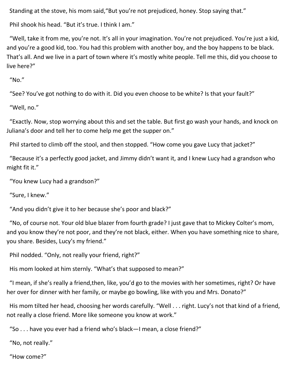Standing at the stove, his mom said, "But you're not prejudiced, honey. Stop saying that."

Phil shook his head. "But it's true. I think I am."

 "Well, take it from me, you're not. It's all in your imagination. You're not prejudiced. You're just a kid, and you're a good kid, too. You had this problem with another boy, and the boy happens to be black. That's all. And we live in a part of town where it's mostly white people. Tell me this, did you choose to live here?"

"No."

"See? You've got nothing to do with it. Did you even choose to be white? Is that your fault?"

"Well, no."

 "Exactly. Now, stop worrying about this and set the table. But first go wash your hands, and knock on Juliana's door and tell her to come help me get the supper on."

Phil started to climb off the stool, and then stopped. "How come you gave Lucy that jacket?"

 "Because it's a perfectly good jacket, and Jimmy didn't want it, and I knew Lucy had a grandson who might fit it."

"You knew Lucy had a grandson?"

"Sure, I knew."

"And you didn't give it to her because she's poor and black?"

 "No, of course not. Your old blue blazer from fourth grade? I just gave that to Mickey Colter's mom, and you know they're not poor, and they're not black, either. When you have something nice to share, you share. Besides, Lucy's my friend."

Phil nodded. "Only, not really your friend, right?"

His mom looked at him sternly. "What's that supposed to mean?"

 "I mean, if she's really a friend,then, like, you'd go to the movies with her sometimes, right? Or have her over for dinner with her family, or maybe go bowling, like with you and Mrs. Donato?"

His mom tilted her head, choosing her words carefully. "Well . . . right. Lucy's not that kind of a friend, not really a close friend. More like someone you know at work."

"So . . . have you ever had a friend who's black—I mean, a close friend?"

"No, not really."

"How come?"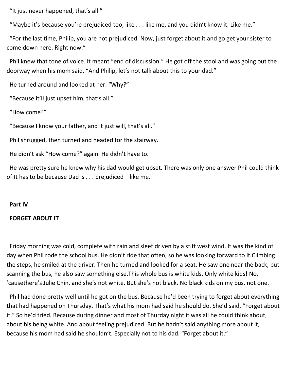"It just never happened, that's all."

"Maybe it's because you're prejudiced too, like . . . like me, and you didn't know it. Like me."

 "For the last time, Philip, you are not prejudiced. Now, just forget about it and go get your sister to come down here. Right now."

 Phil knew that tone of voice. It meant "end of discussion." He got off the stool and was going out the doorway when his mom said, "And Philip, let's not talk about this to your dad."

He turned around and looked at her. "Why?"

"Because it'll just upset him, that's all."

"How come?"

"Because I know your father, and it just will, that's all."

Phil shrugged, then turned and headed for the stairway.

He didn't ask "How come?" again. He didn't have to.

 He was pretty sure he knew why his dad would get upset. There was only one answer Phil could think of:It has to be because Dad is . . . prejudiced—like me.

#### **Part IV**

# **FORGET ABOUT IT**

 Friday morning was cold, complete with rain and sleet driven by a stiff west wind. It was the kind of day when Phil rode the school bus. He didn't ride that often, so he was looking forward to it.Climbing the steps, he smiled at the driver. Then he turned and looked for a seat. He saw one near the back, but scanning the bus, he also saw something else.This whole bus is white kids. Only white kids! No, 'causethere's Julie Chin, and she's not white. But she's not black. No black kids on my bus, not one.

 Phil had done pretty well until he got on the bus. Because he'd been trying to forget about everything that had happened on Thursday. That's what his mom had said he should do. She'd said, "Forget about it." So he'd tried. Because during dinner and most of Thurday night it was all he could think about, about his being white. And about feeling prejudiced. But he hadn't said anything more about it, because his mom had said he shouldn't. Especially not to his dad. "Forget about it."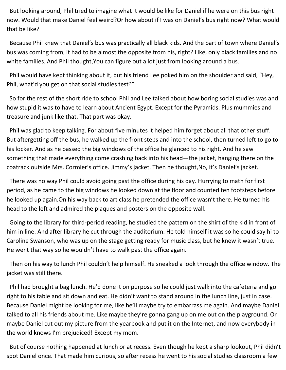But looking around, Phil tried to imagine what it would be like for Daniel if he were on this bus right now. Would that make Daniel feel weird?Or how about if I was on Daniel's bus right now? What would that be like?

 Because Phil knew that Daniel's bus was practically all black kids. And the part of town where Daniel's bus was coming from, it had to be almost the opposite from his, right? Like, only black families and no white families. And Phil thought,You can figure out a lot just from looking around a bus.

 Phil would have kept thinking about it, but his friend Lee poked him on the shoulder and said, "Hey, Phil, what'd you get on that social studies test?"

 So for the rest of the short ride to school Phil and Lee talked about how boring social studies was and how stupid it was to have to learn about Ancient Egypt. Except for the Pyramids. Plus mummies and treasure and junk like that. That part was okay.

 Phil was glad to keep talking. For about five minutes it helped him forget about all that other stuff. But aftergetting off the bus, he walked up the front steps and into the school, then turned left to go to his locker. And as he passed the big windows of the office he glanced to his right. And he saw something that made everything come crashing back into his head—the jacket, hanging there on the coatrack outside Mrs. Cormier's office. Jimmy's jacket. Then he thought,No, it's Daniel's jacket.

 There was no way Phil could avoid going past the office during his day. Hurrying to math for first period, as he came to the big windows he looked down at the floor and counted ten footsteps before he looked up again.On his way back to art class he pretended the office wasn't there. He turned his head to the left and admired the plaques and posters on the opposite wall.

 Going to the library for third-period reading, he studied the pattern on the shirt of the kid in front of him in line. And after library he cut through the auditorium. He told himself it was so he could say hi to Caroline Swanson, who was up on the stage getting ready for music class, but he knew it wasn't true. He went that way so he wouldn't have to walk past the office again.

 Then on his way to lunch Phil couldn't help himself. He sneaked a look through the office window. The jacket was still there.

 Phil had brought a bag lunch. He'd done it on purpose so he could just walk into the cafeteria and go right to his table and sit down and eat. He didn't want to stand around in the lunch line, just in case. Because Daniel might be looking for me, like he'll maybe try to embarrass me again. And maybe Daniel talked to all his friends about me. Like maybe they're gonna gang up on me out on the playground. Or maybe Daniel cut out my picture from the yearbook and put it on the Internet, and now everybody in the world knows I'm prejudiced! Except my mom.

 But of course nothing happened at lunch or at recess. Even though he kept a sharp lookout, Phil didn't spot Daniel once. That made him curious, so after recess he went to his social studies classroom a few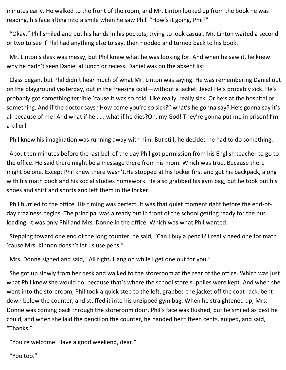minutes early. He walked to the front of the room, and Mr. Linton looked up from the book he was reading, his face lifting into a smile when he saw Phil. "How's it going, Phil?"

 "Okay." Phil smiled and put his hands in his pockets, trying to look casual. Mr. Linton waited a second or two to see if Phil had anything else to say, then nodded and turned back to his book.

 Mr. Linton's desk was messy, but Phil knew what he was looking for. And when he saw it, he knew why he hadn't seen Daniel at lunch or recess. Daniel was on the absent list.

 Class began, but Phil didn't hear much of what Mr. Linton was saying. He was remembering Daniel out on the playground yesterday, out in the freezing cold—without a jacket. Jeez! He's probably sick. He's probably got something terrible 'cause it was so cold. Like really, really sick. Or he's at the hospital or something. And if the doctor says "How come you're so sick?" what's he gonna say? He's gonna say it's all because of me! And what if he . . . what if he dies?Oh, my God! They're gonna put me in prison! I'm a killer!

Phil knew his imagination was running away with him. But still, he decided he had to do something.

 About ten minutes before the last bell of the day Phil got permission from his English teacher to go to the office. He said there might be a message there from his mom. Which was true. Because there might be one. Except Phil knew there wasn't.He stopped at his locker first and got his backpack, along with his math book and his social studies homework. He also grabbed his gym bag, but he took out his shoes and shirt and shorts and left them in the locker.

 Phil hurried to the office. His timing was perfect. It was that quiet moment right before the end-ofday craziness begins. The principal was already out in front of the school getting ready for the bus loading. It was only Phil and Mrs. Donne in the office. Which was what Phil wanted.

 Stepping toward one end of the long counter, he said, "Can I buy a pencil? I really need one for math 'cause Mrs. Kinnon doesn't let us use pens."

Mrs. Donne sighed and said, "All right. Hang on while I get one out for you."

 She got up slowly from her desk and walked to the storeroom at the rear of the office. Which was just what Phil knew she would do, because that's where the school store supplies were kept. And when she went into the storeroom, Phil took a quick step to the left, grabbed the jacket off the coat rack, bent down below the counter, and stuffed it into his unzipped gym bag. When he straightened up, Mrs. Donne was coming back through the storeroom door. Phil's face was flushed, but he smiled as best he could, and when she laid the pencil on the counter, he handed her fifteen cents, gulped, and said, "Thanks."

"You're welcome. Have a good weekend, dear."

"You too."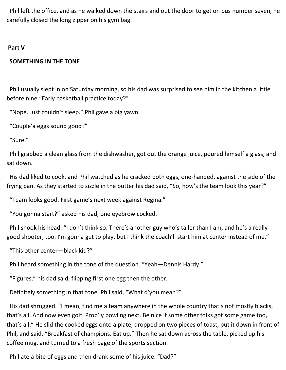Phil left the office, and as he walked down the stairs and out the door to get on bus number seven, he carefully closed the long zipper on his gym bag.

# **Part V**

# **SOMETHING IN THE TONE**

 Phil usually slept in on Saturday morning, so his dad was surprised to see him in the kitchen a little before nine."Early basketball practice today?"

"Nope. Just couldn't sleep." Phil gave a big yawn.

"Couple'a eggs sound good?"

"Sure."

 Phil grabbed a clean glass from the dishwasher, got out the orange juice, poured himself a glass, and sat down.

 His dad liked to cook, and Phil watched as he cracked both eggs, one-handed, against the side of the frying pan. As they started to sizzle in the butter his dad said, "So, how's the team look this year?"

"Team looks good. First game's next week against Regina."

"You gonna start?" asked his dad, one eyebrow cocked.

 Phil shook his head. "I don't think so. There's another guy who's taller than I am, and he's a really good shooter, too. I'm gonna get to play, but I think the coach'll start him at center instead of me."

"This other center—black kid?"

Phil heard something in the tone of the question. "Yeah—Dennis Hardy."

"Figures," his dad said, flipping first one egg then the other.

Definitely something in that tone. Phil said, "What d'you mean?"

 His dad shrugged. "I mean, find me a team anywhere in the whole country that's not mostly blacks, that's all. And now even golf. Prob'ly bowling next. Be nice if some other folks got some game too, that's all." He slid the cooked eggs onto a plate, dropped on two pieces of toast, put it down in front of Phil, and said, "Breakfast of champions. Eat up." Then he sat down across the table, picked up his coffee mug, and turned to a fresh page of the sports section.

Phil ate a bite of eggs and then drank some of his juice. "Dad?"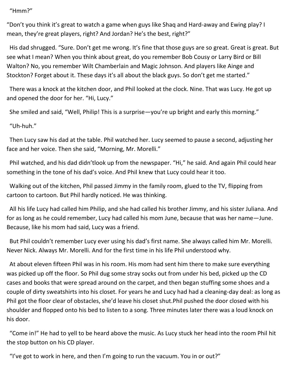"Hmm?"

"Don't you think it's great to watch a game when guys like Shaq and Hard-away and Ewing play? I mean, they're great players, right? And Jordan? He's the best, right?"

 His dad shrugged. "Sure. Don't get me wrong. It's fine that those guys are so great. Great is great. But see what I mean? When you think about great, do you remember Bob Cousy or Larry Bird or Bill Walton? No, you remember Wilt Chamberlain and Magic Johnson. And players like Ainge and Stockton? Forget about it. These days it's all about the black guys. So don't get me started."

 There was a knock at the kitchen door, and Phil looked at the clock. Nine. That was Lucy. He got up and opened the door for her. "Hi, Lucy."

She smiled and said, "Well, Philip! This is a surprise—you're up bright and early this morning."

"Uh-huh."

 Then Lucy saw his dad at the table. Phil watched her. Lucy seemed to pause a second, adjusting her face and her voice. Then she said, "Morning, Mr. Morelli."

 Phil watched, and his dad didn'tlook up from the newspaper. "Hi," he said. And again Phil could hear something in the tone of his dad's voice. And Phil knew that Lucy could hear it too.

 Walking out of the kitchen, Phil passed Jimmy in the family room, glued to the TV, flipping from cartoon to cartoon. But Phil hardly noticed. He was thinking.

 All his life Lucy had called him Philip, and she had called his brother Jimmy, and his sister Juliana. And for as long as he could remember, Lucy had called his mom June, because that was her name—June. Because, like his mom had said, Lucy was a friend.

 But Phil couldn't remember Lucy ever using his dad's first name. She always called him Mr. Morelli. Never Nick. Always Mr. Morelli. And for the first time in his life Phil understood why.

 At about eleven fifteen Phil was in his room. His mom had sent him there to make sure everything was picked up off the floor. So Phil dug some stray socks out from under his bed, picked up the CD cases and books that were spread around on the carpet, and then began stuffing some shoes and a couple of dirty sweatshirts into his closet. For years he and Lucy had had a cleaning-day deal: as long as Phil got the floor clear of obstacles, she'd leave his closet shut.Phil pushed the door closed with his shoulder and flopped onto his bed to listen to a song. Three minutes later there was a loud knock on his door.

 "Come in!" He had to yell to be heard above the music. As Lucy stuck her head into the room Phil hit the stop button on his CD player.

"I've got to work in here, and then I'm going to run the vacuum. You in or out?"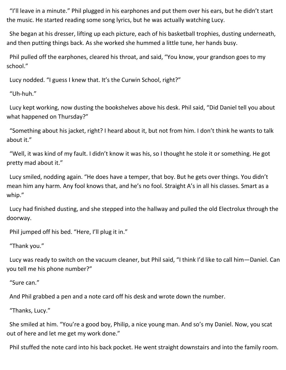"I'll leave in a minute." Phil plugged in his earphones and put them over his ears, but he didn't start the music. He started reading some song lyrics, but he was actually watching Lucy.

 She began at his dresser, lifting up each picture, each of his basketball trophies, dusting underneath, and then putting things back. As she worked she hummed a little tune, her hands busy.

 Phil pulled off the earphones, cleared his throat, and said, "You know, your grandson goes to my school."

Lucy nodded. "I guess I knew that. It's the Curwin School, right?"

"Uh-huh."

 Lucy kept working, now dusting the bookshelves above his desk. Phil said, "Did Daniel tell you about what happened on Thursday?"

 "Something about his jacket, right? I heard about it, but not from him. I don't think he wants to talk about it."

 "Well, it was kind of my fault. I didn't know it was his, so I thought he stole it or something. He got pretty mad about it."

 Lucy smiled, nodding again. "He does have a temper, that boy. But he gets over things. You didn't mean him any harm. Any fool knows that, and he's no fool. Straight A's in all his classes. Smart as a whip."

 Lucy had finished dusting, and she stepped into the hallway and pulled the old Electrolux through the doorway.

Phil jumped off his bed. "Here, I'll plug it in."

"Thank you."

 Lucy was ready to switch on the vacuum cleaner, but Phil said, "I think I'd like to call him—Daniel. Can you tell me his phone number?"

"Sure can."

And Phil grabbed a pen and a note card off his desk and wrote down the number.

"Thanks, Lucy."

 She smiled at him. "You're a good boy, Philip, a nice young man. And so's my Daniel. Now, you scat out of here and let me get my work done."

Phil stuffed the note card into his back pocket. He went straight downstairs and into the family room.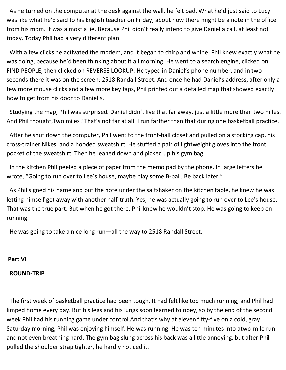As he turned on the computer at the desk against the wall, he felt bad. What he'd just said to Lucy was like what he'd said to his English teacher on Friday, about how there might be a note in the office from his mom. It was almost a lie. Because Phil didn't really intend to give Daniel a call, at least not today. Today Phil had a very different plan.

 With a few clicks he activated the modem, and it began to chirp and whine. Phil knew exactly what he was doing, because he'd been thinking about it all morning. He went to a search engine, clicked on FIND PEOPLE, then clicked on REVERSE LOOKUP. He typed in Daniel's phone number, and in two seconds there it was on the screen: 2518 Randall Street. And once he had Daniel's address, after only a few more mouse clicks and a few more key taps, Phil printed out a detailed map that showed exactly how to get from his door to Daniel's.

 Studying the map, Phil was surprised. Daniel didn't live that far away, just a little more than two miles. And Phil thought,Two miles? That's not far at all. I run farther than that during one basketball practice.

 After he shut down the computer, Phil went to the front-hall closet and pulled on a stocking cap, his cross-trainer Nikes, and a hooded sweatshirt. He stuffed a pair of lightweight gloves into the front pocket of the sweatshirt. Then he leaned down and picked up his gym bag.

 In the kitchen Phil peeled a piece of paper from the memo pad by the phone. In large letters he wrote, "Going to run over to Lee's house, maybe play some B-ball. Be back later."

 As Phil signed his name and put the note under the saltshaker on the kitchen table, he knew he was letting himself get away with another half-truth. Yes, he was actually going to run over to Lee's house. That was the true part. But when he got there, Phil knew he wouldn't stop. He was going to keep on running.

He was going to take a nice long run—all the way to 2518 Randall Street.

## **Part VI**

## **ROUND-TRIP**

 The first week of basketball practice had been tough. It had felt like too much running, and Phil had limped home every day. But his legs and his lungs soon learned to obey, so by the end of the second week Phil had his running game under control.And that's why at eleven fifty-five on a cold, gray Saturday morning, Phil was enjoying himself. He was running. He was ten minutes into atwo-mile run and not even breathing hard. The gym bag slung across his back was a little annoying, but after Phil pulled the shoulder strap tighter, he hardly noticed it.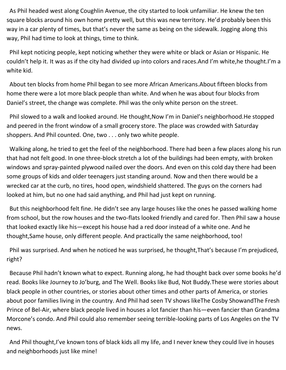As Phil headed west along Coughlin Avenue, the city started to look unfamiliar. He knew the ten square blocks around his own home pretty well, but this was new territory. He'd probably been this way in a car plenty of times, but that's never the same as being on the sidewalk. Jogging along this way, Phil had time to look at things, time to think.

 Phil kept noticing people, kept noticing whether they were white or black or Asian or Hispanic. He couldn't help it. It was as if the city had divided up into colors and races.And I'm white,he thought.I'm a white kid.

 About ten blocks from home Phil began to see more African Americans.About fifteen blocks from home there were a lot more black people than white. And when he was about four blocks from Daniel's street, the change was complete. Phil was the only white person on the street.

 Phil slowed to a walk and looked around. He thought,Now I'm in Daniel's neighborhood.He stopped and peered in the front window of a small grocery store. The place was crowded with Saturday shoppers. And Phil counted. One, two . . . only two white people.

 Walking along, he tried to get the feel of the neighborhood. There had been a few places along his run that had not felt good. In one three-block stretch a lot of the buildings had been empty, with broken windows and spray-painted plywood nailed over the doors. And even on this cold day there had been some groups of kids and older teenagers just standing around. Now and then there would be a wrecked car at the curb, no tires, hood open, windshield shattered. The guys on the corners had looked at him, but no one had said anything, and Phil had just kept on running.

 But this neighborhood felt fine. He didn't see any large houses like the ones he passed walking home from school, but the row houses and the two-flats looked friendly and cared for. Then Phil saw a house that looked exactly like his—except his house had a red door instead of a white one. And he thought,Same house, only different people. And practically the same neighborhood, too!

 Phil was surprised. And when he noticed he was surprised, he thought,That's because I'm prejudiced, right?

 Because Phil hadn't known what to expect. Running along, he had thought back over some books he'd read. Books like Journey to Jo'burg, and The Well. Books like Bud, Not Buddy.These were stories about black people in other countries, or stories about other times and other parts of America, or stories about poor families living in the country. And Phil had seen TV shows likeThe Cosby ShowandThe Fresh Prince of Bel-Air, where black people lived in houses a lot fancier than his—even fancier than Grandma Morcone's condo. And Phil could also remember seeing terrible-looking parts of Los Angeles on the TV news.

 And Phil thought,I've known tons of black kids all my life, and I never knew they could live in houses and neighborhoods just like mine!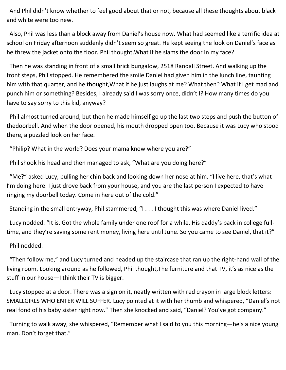And Phil didn't know whether to feel good about that or not, because all these thoughts about black and white were too new.

 Also, Phil was less than a block away from Daniel's house now. What had seemed like a terrific idea at school on Friday afternoon suddenly didn't seem so great. He kept seeing the look on Daniel's face as he threw the jacket onto the floor. Phil thought,What if he slams the door in my face?

 Then he was standing in front of a small brick bungalow, 2518 Randall Street. And walking up the front steps, Phil stopped. He remembered the smile Daniel had given him in the lunch line, taunting him with that quarter, and he thought,What if he just laughs at me? What then? What if I get mad and punch him or something? Besides, I already said I was sorry once, didn't I? How many times do you have to say sorry to this kid, anyway?

 Phil almost turned around, but then he made himself go up the last two steps and push the button of thedoorbell. And when the door opened, his mouth dropped open too. Because it was Lucy who stood there, a puzzled look on her face.

"Philip? What in the world? Does your mama know where you are?"

Phil shook his head and then managed to ask, "What are you doing here?"

 "Me?" asked Lucy, pulling her chin back and looking down her nose at him. "I live here, that's what I'm doing here. I just drove back from your house, and you are the last person I expected to have ringing my doorbell today. Come in here out of the cold."

Standing in the small entryway, Phil stammered, "I . . . I thought this was where Daniel lived."

 Lucy nodded. "It is. Got the whole family under one roof for a while. His daddy's back in college fulltime, and they're saving some rent money, living here until June. So you came to see Daniel, that it?"

## Phil nodded.

 "Then follow me," and Lucy turned and headed up the staircase that ran up the right-hand wall of the living room. Looking around as he followed, Phil thought,The furniture and that TV, it's as nice as the stuff in our house—I think their TV is bigger.

 Lucy stopped at a door. There was a sign on it, neatly written with red crayon in large block letters: SMALLGIRLS WHO ENTER WILL SUFFER. Lucy pointed at it with her thumb and whispered, "Daniel's not real fond of his baby sister right now." Then she knocked and said, "Daniel? You've got company."

 Turning to walk away, she whispered, "Remember what I said to you this morning—he's a nice young man. Don't forget that."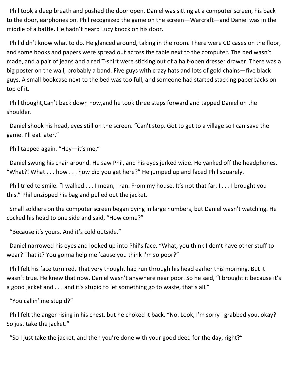Phil took a deep breath and pushed the door open. Daniel was sitting at a computer screen, his back to the door, earphones on. Phil recognized the game on the screen—Warcraft—and Daniel was in the middle of a battle. He hadn't heard Lucy knock on his door.

 Phil didn't know what to do. He glanced around, taking in the room. There were CD cases on the floor, and some books and papers were spread out across the table next to the computer. The bed wasn't made, and a pair of jeans and a red T-shirt were sticking out of a half-open dresser drawer. There was a big poster on the wall, probably a band. Five guys with crazy hats and lots of gold chains—five black guys. A small bookcase next to the bed was too full, and someone had started stacking paperbacks on top of it.

 Phil thought,Can't back down now,and he took three steps forward and tapped Daniel on the shoulder.

 Daniel shook his head, eyes still on the screen. "Can't stop. Got to get to a village so I can save the game. I'll eat later."

Phil tapped again. "Hey—it's me."

 Daniel swung his chair around. He saw Phil, and his eyes jerked wide. He yanked off the headphones. "What?! What . . . how . . . how did you get here?" He jumped up and faced Phil squarely.

Phil tried to smile. "I walked . . . I mean, I ran. From my house. It's not that far. I . . . I brought you this." Phil unzipped his bag and pulled out the jacket.

 Small soldiers on the computer screen began dying in large numbers, but Daniel wasn't watching. He cocked his head to one side and said, "How come?"

"Because it's yours. And it's cold outside."

 Daniel narrowed his eyes and looked up into Phil's face. "What, you think I don't have other stuff to wear? That it? You gonna help me 'cause you think I'm so poor?"

 Phil felt his face turn red. That very thought had run through his head earlier this morning. But it wasn't true. He knew that now. Daniel wasn't anywhere near poor. So he said, "I brought it because it's a good jacket and . . . and it's stupid to let something go to waste, that's all."

"You callin' me stupid?"

 Phil felt the anger rising in his chest, but he choked it back. "No. Look, I'm sorry I grabbed you, okay? So just take the jacket."

"So I just take the jacket, and then you're done with your good deed for the day, right?"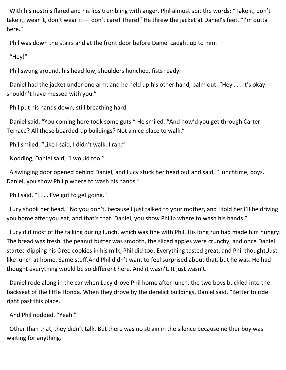With his nostrils flared and his lips trembling with anger, Phil almost spit the words: "Take it, don't take it, wear it, don't wear it-I don't care! There!" He threw the jacket at Daniel's feet. "I'm outta here."

Phil was down the stairs and at the front door before Daniel caught up to him.

"Hey!"

Phil swung around, his head low, shoulders hunched, fists ready.

 Daniel had the jacket under one arm, and he held up his other hand, palm out. "Hey . . . it's okay. I shouldn't have messed with you."

Phil put his hands down, still breathing hard.

 Daniel said, "You coming here took some guts." He smiled. "And how'd you get through Carter Terrace? All those boarded-up buildings? Not a nice place to walk."

Phil smiled. "Like I said, I didn't walk. I ran."

Nodding, Daniel said, "I would too."

 A swinging door opened behind Daniel, and Lucy stuck her head out and said, "Lunchtime, boys. Daniel, you show Philip where to wash his hands."

Phil said, "I . . . I've got to get going."

 Lucy shook her head. "No you don't, because I just talked to your mother, and I told her I'll be driving you home after you eat, and that's that. Daniel, you show Philip where to wash his hands."

 Lucy did most of the talking during lunch, which was fine with Phil. His long run had made him hungry. The bread was fresh, the peanut butter was smooth, the sliced apples were crunchy, and once Daniel started dipping his Oreo cookies in his milk, Phil did too. Everything tasted great, and Phil thought,Just like lunch at home. Same stuff.And Phil didn't want to feel surprised about that, but he was. He had thought everything would be so different here. And it wasn't. It just wasn't.

 Daniel rode along in the car when Lucy drove Phil home after lunch, the two boys buckled into the backseat of the little Honda. When they drove by the derelict buildings, Daniel said, "Better to ride right past this place."

And Phil nodded. "Yeah."

 Other than that, they didn't talk. But there was no strain in the silence because neither boy was waiting for anything.